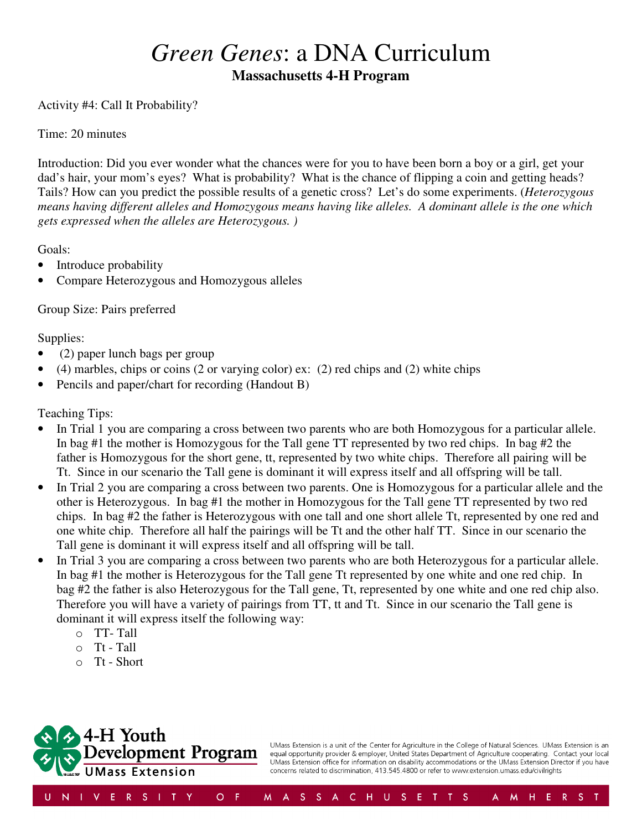## *Green Genes*: a DNA Curriculum **Massachusetts 4-H Program**

## Activity #4: Call It Probability?

## Time: 20 minutes

Introduction: Did you ever wonder what the chances were for you to have been born a boy or a girl, get your dad's hair, your mom's eyes? What is probability? What is the chance of flipping a coin and getting heads? Tails? How can you predict the possible results of a genetic cross? Let's do some experiments. (*Heterozygous means having different alleles and Homozygous means having like alleles. A dominant allele is the one which gets expressed when the alleles are Heterozygous. )*

Goals:

- Introduce probability
- Compare Heterozygous and Homozygous alleles

Group Size: Pairs preferred

Supplies:

- (2) paper lunch bags per group
- (4) marbles, chips or coins (2 or varying color) ex: (2) red chips and (2) white chips
- Pencils and paper/chart for recording (Handout B)

Teaching Tips:

- In Trial 1 you are comparing a cross between two parents who are both Homozygous for a particular allele. In bag #1 the mother is Homozygous for the Tall gene TT represented by two red chips. In bag #2 the father is Homozygous for the short gene, tt, represented by two white chips. Therefore all pairing will be Tt. Since in our scenario the Tall gene is dominant it will express itself and all offspring will be tall.
- In Trial 2 you are comparing a cross between two parents. One is Homozygous for a particular allele and the other is Heterozygous. In bag #1 the mother in Homozygous for the Tall gene TT represented by two red chips. In bag #2 the father is Heterozygous with one tall and one short allele Tt, represented by one red and one white chip. Therefore all half the pairings will be Tt and the other half TT. Since in our scenario the Tall gene is dominant it will express itself and all offspring will be tall.
- In Trial 3 you are comparing a cross between two parents who are both Heterozygous for a particular allele. In bag #1 the mother is Heterozygous for the Tall gene Tt represented by one white and one red chip. In bag #2 the father is also Heterozygous for the Tall gene, Tt, represented by one white and one red chip also. Therefore you will have a variety of pairings from TT, tt and Tt. Since in our scenario the Tall gene is dominant it will express itself the following way:
	- o TT- Tall
	- $\circ$  Tt Tall
	- $\circ$  Tt Short



UMass Extension is a unit of the Center for Agriculture in the College of Natural Sciences. UMass Extension is an equal opportunity provider & employer, United States Department of Agriculture cooperating. Contact your local UMass Extension office for information on disability accommodations or the UMass Extension Director if you have concerns related to discrimination, 413.545.4800 or refer to www.extension.umass.edu/civilrights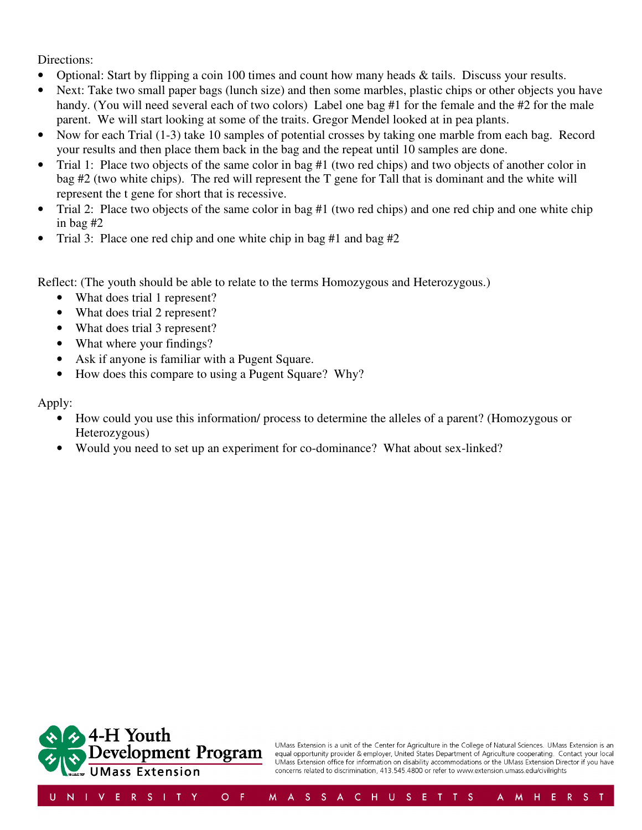Directions:

- Optional: Start by flipping a coin 100 times and count how many heads  $\&$  tails. Discuss your results.
- Next: Take two small paper bags (lunch size) and then some marbles, plastic chips or other objects you have handy. (You will need several each of two colors) Label one bag #1 for the female and the #2 for the male parent. We will start looking at some of the traits. Gregor Mendel looked at in pea plants.
- Now for each Trial (1-3) take 10 samples of potential crosses by taking one marble from each bag. Record your results and then place them back in the bag and the repeat until 10 samples are done.
- Trial 1: Place two objects of the same color in bag #1 (two red chips) and two objects of another color in bag #2 (two white chips). The red will represent the T gene for Tall that is dominant and the white will represent the t gene for short that is recessive.
- Trial 2: Place two objects of the same color in bag #1 (two red chips) and one red chip and one white chip in bag #2
- Trial 3: Place one red chip and one white chip in bag #1 and bag #2

Reflect: (The youth should be able to relate to the terms Homozygous and Heterozygous.)

- What does trial 1 represent?
- What does trial 2 represent?
- What does trial 3 represent?
- What where your findings?
- Ask if anyone is familiar with a Pugent Square.
- How does this compare to using a Pugent Square? Why?

Apply:

- How could you use this information/ process to determine the alleles of a parent? (Homozygous or Heterozygous)
- Would you need to set up an experiment for co-dominance? What about sex-linked?



UMass Extension is a unit of the Center for Agriculture in the College of Natural Sciences. UMass Extension is an equal opportunity provider & employer, United States Department of Agriculture cooperating. Contact your local UMass Extension office for information on disability accommodations or the UMass Extension Director if you have concerns related to discrimination, 413.545.4800 or refer to www.extension.umass.edu/civilrights